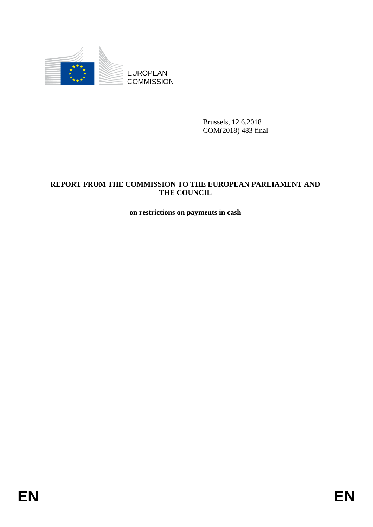

Brussels, 12.6.2018 COM(2018) 483 final

# EUROPEAN<br>
EUROPEAN<br>
ENGINEERING<br>
ENGINEERING<br>
ENGINEERING<br>
ENGINEERING<br>
THE COUNTRIE CONSUL<br>
THE COUNCIL<br>
ON THE COUNCIL<br>
ON THE COUNCIL<br>
ON THE COUNCIL<br>
ON THE COUNCIL<br>
ON THE COUNCIL<br>
ON THE COUNCIL<br>
ON THE COUNCIL<br>
ON T **REPORT FROM THE COMMISSION TO THE EUROPEAN PARLIAMENT AND THE COUNCIL**

**on restrictions on payments in cash**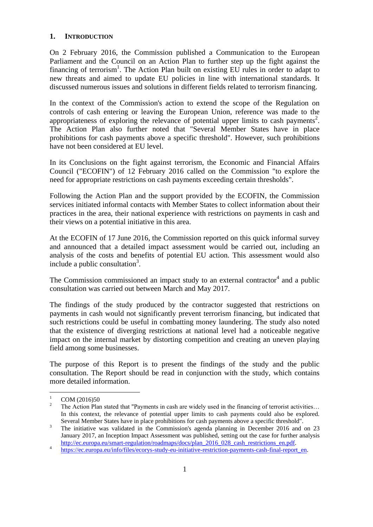### **1. INTRODUCTION**

On 2 February 2016, the Commission published a Communication to the European Parliament and the Council on an Action Plan to further step up the fight against the financing of terrorism<sup>1</sup>. The Action Plan built on existing EU rules in order to adapt to new threats and aimed to update EU policies in line with international standards. It discussed numerous issues and solutions in different fields related to terrorism financing.

In the context of the Commission's action to extend the scope of the Regulation on controls of cash entering or leaving the European Union, reference was made to the appropriateness of exploring the relevance of potential upper limits to cash payments<sup>2</sup>. The Action Plan also further noted that "Several Member States have in place prohibitions for cash payments above a specific threshold". However, such prohibitions have not been considered at EU level.

In its Conclusions on the fight against terrorism, the Economic and Financial Affairs Council ("ECOFIN") of 12 February 2016 called on the Commission "to explore the need for appropriate restrictions on cash payments exceeding certain thresholds".

Following the Action Plan and the support provided by the ECOFIN, the Commission services initiated informal contacts with Member States to collect information about their practices in the area, their national experience with restrictions on payments in cash and their views on a potential initiative in this area.

At the ECOFIN of 17 June 2016, the Commission reported on this quick informal survey and announced that a detailed impact assessment would be carried out, including an analysis of the costs and benefits of potential EU action. This assessment would also include a public consultation<sup>3</sup>.

The Commission commissioned an impact study to an external contractor<sup>4</sup> and a public consultation was carried out between March and May 2017.

The findings of the study produced by the contractor suggested that restrictions on payments in cash would not significantly prevent terrorism financing, but indicated that such restrictions could be useful in combatting money laundering. The study also noted that the existence of diverging restrictions at national level had a noticeable negative impact on the internal market by distorting competition and creating an uneven playing field among some businesses.

The purpose of this Report is to present the findings of the study and the public consultation. The Report should be read in conjunction with the study, which contains more detailed information.

 $\mathbf{1}$  $\frac{1}{2}$  COM (2016)50

<sup>2</sup> The Action Plan stated that "Payments in cash are widely used in the financing of terrorist activities… In this context, the relevance of potential upper limits to cash payments could also be explored. Several Member States have in place prohibitions for cash payments above a specific threshold".

<sup>&</sup>lt;sup>3</sup> The initiative was validated in the Commission's agenda planning in December 2016 and on 23 January 2017, an Inception Impact Assessment was published, setting out the case for further analysis [http://ec.europa.eu/smart-regulation/roadmaps/docs/plan\\_2016\\_028\\_cash\\_restrictions\\_en.pdf.](http://ec.europa.eu/smart-regulation/roadmaps/docs/plan_2016_028_cash_restrictions_en.pdf)

<sup>4</sup> [https://ec.europa.eu/info/files/ecorys-study-eu-initiative-restriction-payments-cash-final-report\\_en.](https://ec.europa.eu/info/node/82869/)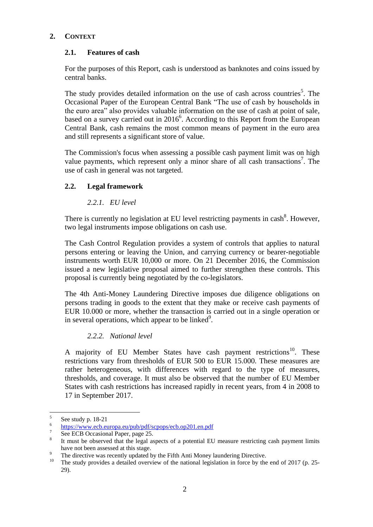# **2. CONTEXT**

# **2.1. Features of cash**

For the purposes of this Report, cash is understood as banknotes and coins issued by central banks.

The study provides detailed information on the use of cash across countries<sup>5</sup>. The Occasional Paper of the European Central Bank "The use of cash by households in the euro area" also provides valuable information on the use of cash at point of sale, based on a survey carried out in 2016<sup>6</sup>. According to this Report from the European Central Bank, cash remains the most common means of payment in the euro area and still represents a significant store of value.

The Commission's focus when assessing a possible cash payment limit was on high value payments, which represent only a minor share of all cash transactions<sup>7</sup>. The use of cash in general was not targeted.

# **2.2. Legal framework**

# *2.2.1. EU level*

There is currently no legislation at EU level restricting payments in cash $^8$ . However, two legal instruments impose obligations on cash use.

The Cash Control Regulation provides a system of controls that applies to natural persons entering or leaving the Union, and carrying currency or bearer-negotiable instruments worth EUR 10,000 or more. On 21 December 2016, the Commission issued a new legislative proposal aimed to further strengthen these controls. This proposal is currently being negotiated by the co-legislators.

The 4th Anti-Money Laundering Directive imposes due diligence obligations on persons trading in goods to the extent that they make or receive cash payments of EUR 10.000 or more, whether the transaction is carried out in a single operation or in several operations, which appear to be linked $9$ .

# *2.2.2. National level*

A majority of EU Member States have cash payment restrictions<sup>10</sup>. These restrictions vary from thresholds of EUR 500 to EUR 15.000. These measures are rather heterogeneous, with differences with regard to the type of measures, thresholds, and coverage. It must also be observed that the number of EU Member States with cash restrictions has increased rapidly in recent years, from 4 in 2008 to 17 in September 2017.

 5 See study p. 18-21

<sup>6</sup> <https://www.ecb.europa.eu/pub/pdf/scpops/ecb.op201.en.pdf>

<sup>7</sup> See ECB Occasional Paper, page 25.

<sup>8</sup> It must be observed that the legal aspects of a potential EU measure restricting cash payment limits have not been assessed at this stage.

<sup>&</sup>lt;sup>9</sup> The directive was recently updated by the Fifth Anti Money laundering Directive.<br><sup>10</sup> The study provides a detailed sygmiony of the patiental locialation in farce by the

<sup>10</sup> The study provides a detailed overview of the national legislation in force by the end of 2017 (p. 25- 29).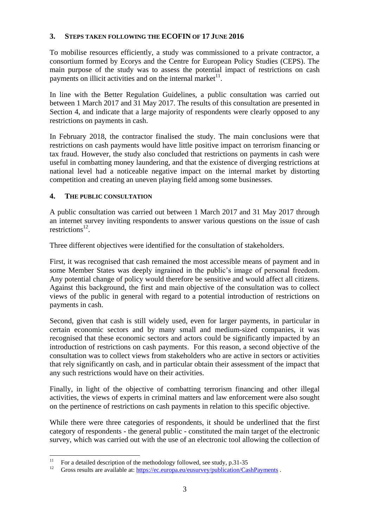# **3. STEPS TAKEN FOLLOWING THE ECOFIN OF 17 JUNE 2016**

To mobilise resources efficiently, a study was commissioned to a private contractor, a consortium formed by Ecorys and the Centre for European Policy Studies (CEPS). The main purpose of the study was to assess the potential impact of restrictions on cash payments on illicit activities and on the internal market $11$ .

In line with the Better Regulation Guidelines, a public consultation was carried out between 1 March 2017 and 31 May 2017. The results of this consultation are presented in Section 4, and indicate that a large majority of respondents were clearly opposed to any restrictions on payments in cash.

In February 2018, the contractor finalised the study. The main conclusions were that restrictions on cash payments would have little positive impact on terrorism financing or tax fraud. However, the study also concluded that restrictions on payments in cash were useful in combatting money laundering, and that the existence of diverging restrictions at national level had a noticeable negative impact on the internal market by distorting competition and creating an uneven playing field among some businesses.

### **4. THE PUBLIC CONSULTATION**

A public consultation was carried out between 1 March 2017 and 31 May 2017 through an internet survey inviting respondents to answer various questions on the issue of cash restrictions<sup>12</sup>.

Three different objectives were identified for the consultation of stakeholders.

First, it was recognised that cash remained the most accessible means of payment and in some Member States was deeply ingrained in the public's image of personal freedom. Any potential change of policy would therefore be sensitive and would affect all citizens. Against this background, the first and main objective of the consultation was to collect views of the public in general with regard to a potential introduction of restrictions on payments in cash.

Second, given that cash is still widely used, even for larger payments, in particular in certain economic sectors and by many small and medium-sized companies, it was recognised that these economic sectors and actors could be significantly impacted by an introduction of restrictions on cash payments. For this reason, a second objective of the consultation was to collect views from stakeholders who are active in sectors or activities that rely significantly on cash, and in particular obtain their assessment of the impact that any such restrictions would have on their activities.

Finally, in light of the objective of combatting terrorism financing and other illegal activities, the views of experts in criminal matters and law enforcement were also sought on the pertinence of restrictions on cash payments in relation to this specific objective.

While there were three categories of respondents, it should be underlined that the first category of respondents - the general public - constituted the main target of the electronic survey, which was carried out with the use of an electronic tool allowing the collection of

 $11$ <sup>11</sup> For a detailed description of the methodology followed, see study, p.31-35<br><sup>12</sup> Gross results are available at https://see surgese.org/overway/publication/Geo

Gross results are available at[: https://ec.europa.eu/eusurvey/publication/CashPayments](https://ec.europa.eu/eusurvey/publication/CashPayments).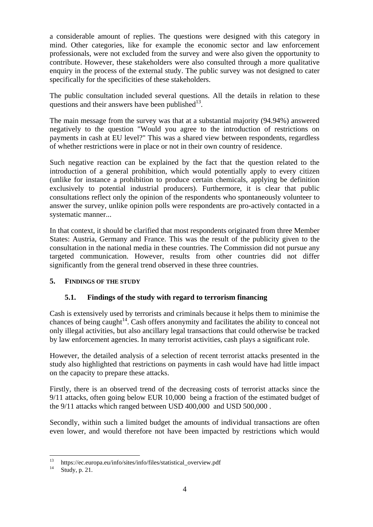a considerable amount of replies. The questions were designed with this category in mind. Other categories, like for example the economic sector and law enforcement professionals, were not excluded from the survey and were also given the opportunity to contribute. However, these stakeholders were also consulted through a more qualitative enquiry in the process of the external study. The public survey was not designed to cater specifically for the specificities of these stakeholders.

The public consultation included several questions. All the details in relation to these questions and their answers have been published $^{13}$ .

The main message from the survey was that at a substantial majority (94.94%) answered negatively to the question "Would you agree to the introduction of restrictions on payments in cash at EU level?" This was a shared view between respondents, regardless of whether restrictions were in place or not in their own country of residence.

Such negative reaction can be explained by the fact that the question related to the introduction of a general prohibition, which would potentially apply to every citizen (unlike for instance a prohibition to produce certain chemicals, applying be definition exclusively to potential industrial producers). Furthermore, it is clear that public consultations reflect only the opinion of the respondents who spontaneously volunteer to answer the survey, unlike opinion polls were respondents are pro-actively contacted in a systematic manner...

In that context, it should be clarified that most respondents originated from three Member States: Austria, Germany and France. This was the result of the publicity given to the consultation in the national media in these countries. The Commission did not pursue any targeted communication. However, results from other countries did not differ significantly from the general trend observed in these three countries.

# **5. FINDINGS OF THE STUDY**

# **5.1. Findings of the study with regard to terrorism financing**

Cash is extensively used by terrorists and criminals because it helps them to minimise the chances of being caught<sup>14</sup>. Cash offers anonymity and facilitates the ability to conceal not only illegal activities, but also ancillary legal transactions that could otherwise be tracked by law enforcement agencies. In many terrorist activities, cash plays a significant role.

However, the detailed analysis of a selection of recent terrorist attacks presented in the study also highlighted that restrictions on payments in cash would have had little impact on the capacity to prepare these attacks.

Firstly, there is an observed trend of the decreasing costs of terrorist attacks since the 9/11 attacks, often going below EUR 10,000 being a fraction of the estimated budget of the 9/11 attacks which ranged between USD 400,000 and USD 500,000 .

Secondly, within such a limited budget the amounts of individual transactions are often even lower, and would therefore not have been impacted by restrictions which would

 $13$ <sup>13</sup> https://ec.europa.eu/info/sites/info/files/statistical\_overview.pdf

Study, p. 21.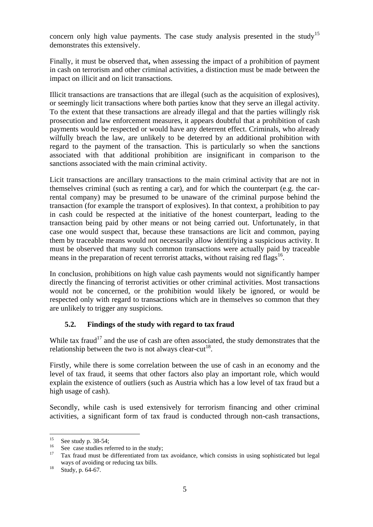concern only high value payments. The case study analysis presented in the study<sup>15</sup> demonstrates this extensively.

Finally, it must be observed that**,** when assessing the impact of a prohibition of payment in cash on terrorism and other criminal activities, a distinction must be made between the impact on illicit and on licit transactions.

Illicit transactions are transactions that are illegal (such as the acquisition of explosives), or seemingly licit transactions where both parties know that they serve an illegal activity. To the extent that these transactions are already illegal and that the parties willingly risk prosecution and law enforcement measures, it appears doubtful that a prohibition of cash payments would be respected or would have any deterrent effect. Criminals, who already wilfully breach the law, are unlikely to be deterred by an additional prohibition with regard to the payment of the transaction. This is particularly so when the sanctions associated with that additional prohibition are insignificant in comparison to the sanctions associated with the main criminal activity.

Licit transactions are ancillary transactions to the main criminal activity that are not in themselves criminal (such as renting a car), and for which the counterpart (e.g. the carrental company) may be presumed to be unaware of the criminal purpose behind the transaction (for example the transport of explosives). In that context, a prohibition to pay in cash could be respected at the initiative of the honest counterpart, leading to the transaction being paid by other means or not being carried out. Unfortunately, in that case one would suspect that, because these transactions are licit and common, paying them by traceable means would not necessarily allow identifying a suspicious activity. It must be observed that many such common transactions were actually paid by traceable means in the preparation of recent terrorist attacks, without raising red flags<sup>16</sup>.

In conclusion, prohibitions on high value cash payments would not significantly hamper directly the financing of terrorist activities or other criminal activities. Most transactions would not be concerned, or the prohibition would likely be ignored, or would be respected only with regard to transactions which are in themselves so common that they are unlikely to trigger any suspicions.

# **5.2. Findings of the study with regard to tax fraud**

While tax fraud<sup>17</sup> and the use of cash are often associated, the study demonstrates that the relationship between the two is not always clear-cut<sup>18</sup>.

Firstly, while there is some correlation between the use of cash in an economy and the level of tax fraud, it seems that other factors also play an important role, which would explain the existence of outliers (such as Austria which has a low level of tax fraud but a high usage of cash).

Secondly, while cash is used extensively for terrorism financing and other criminal activities, a significant form of tax fraud is conducted through non-cash transactions,

<sup>15</sup>  $^{15}$  See study p. 38-54;

<sup>&</sup>lt;sup>16</sup> See case studies referred to in the study;<br><sup>17</sup> Tex from must be differentiated from the

<sup>17</sup> Tax fraud must be differentiated from tax avoidance, which consists in using sophisticated but legal ways of avoiding or reducing tax bills.

 $18$  Study, p. 64-67.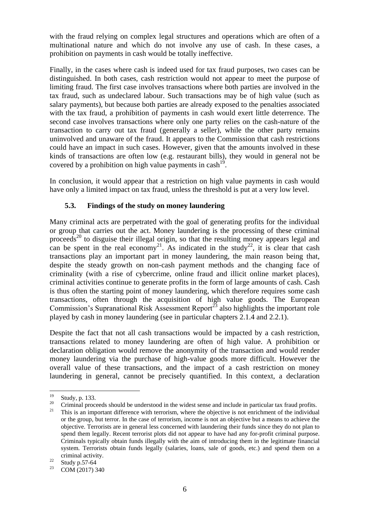with the fraud relying on complex legal structures and operations which are often of a multinational nature and which do not involve any use of cash. In these cases, a prohibition on payments in cash would be totally ineffective.

Finally, in the cases where cash is indeed used for tax fraud purposes, two cases can be distinguished. In both cases, cash restriction would not appear to meet the purpose of limiting fraud. The first case involves transactions where both parties are involved in the tax fraud, such as undeclared labour. Such transactions may be of high value (such as salary payments), but because both parties are already exposed to the penalties associated with the tax fraud, a prohibition of payments in cash would exert little deterrence. The second case involves transactions where only one party relies on the cash-nature of the transaction to carry out tax fraud (generally a seller), while the other party remains uninvolved and unaware of the fraud. It appears to the Commission that cash restrictions could have an impact in such cases. However, given that the amounts involved in these kinds of transactions are often low (e.g. restaurant bills), they would in general not be covered by a prohibition on high value payments in cash<sup>19</sup>.

In conclusion, it would appear that a restriction on high value payments in cash would have only a limited impact on tax fraud, unless the threshold is put at a very low level.

### **5.3. Findings of the study on money laundering**

Many criminal acts are perpetrated with the goal of generating profits for the individual or group that carries out the act. Money laundering is the processing of these criminal proceeds<sup>20</sup> to disguise their illegal origin, so that the resulting money appears legal and can be spent in the real economy<sup>21</sup>. As indicated in the study<sup>22</sup>, it is clear that cash transactions play an important part in money laundering, the main reason being that, despite the steady growth on non-cash payment methods and the changing face of criminality (with a rise of cybercrime, online fraud and illicit online market places), criminal activities continue to generate profits in the form of large amounts of cash. Cash is thus often the starting point of money laundering, which therefore requires some cash transactions, often through the acquisition of high value goods. The European Commission's Supranational Risk Assessment Report<sup>23</sup> also highlights the important role played by cash in money laundering (see in particular chapters 2.1.4 and 2.2.1).

Despite the fact that not all cash transactions would be impacted by a cash restriction, transactions related to money laundering are often of high value. A prohibition or declaration obligation would remove the anonymity of the transaction and would render money laundering via the purchase of high-value goods more difficult. However the overall value of these transactions, and the impact of a cash restriction on money laundering in general, cannot be precisely quantified. In this context, a declaration

 $19$  $\frac{19}{20}$  Study, p. 133.

<sup>20</sup> Criminal proceeds should be understood in the widest sense and include in particular tax fraud profits.<br>21 This is an important difference with terrorism, where the objective is not enrichment of the individual

<sup>21</sup> This is an important difference with terrorism, where the objective is not enrichment of the individual or the group, but terror. In the case of terrorism, income is not an objective but a means to achieve the objective. Terrorists are in general less concerned with laundering their funds since they do not plan to spend them legally. Recent terrorist plots did not appear to have had any for-profit criminal purpose. Criminals typically obtain funds illegally with the aim of introducing them in the legitimate financial system. Terrorists obtain funds legally (salaries, loans, sale of goods, etc.) and spend them on a criminal activity.

 $\frac{22}{23}$  Study p.57-64

COM (2017) 340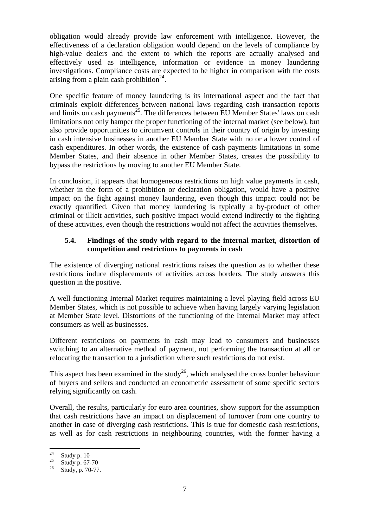obligation would already provide law enforcement with intelligence. However, the effectiveness of a declaration obligation would depend on the levels of compliance by high-value dealers and the extent to which the reports are actually analysed and effectively used as intelligence, information or evidence in money laundering investigations. Compliance costs are expected to be higher in comparison with the costs arising from a plain cash prohibition<sup>24</sup>.

One specific feature of money laundering is its international aspect and the fact that criminals exploit differences between national laws regarding cash transaction reports and limits on cash payments<sup>25</sup>. The differences between EU Member States' laws on cash limitations not only hamper the proper functioning of the internal market (see below), but also provide opportunities to circumvent controls in their country of origin by investing in cash intensive businesses in another EU Member State with no or a lower control of cash expenditures. In other words, the existence of cash payments limitations in some Member States, and their absence in other Member States, creates the possibility to bypass the restrictions by moving to another EU Member State.

In conclusion, it appears that homogeneous restrictions on high value payments in cash, whether in the form of a prohibition or declaration obligation, would have a positive impact on the fight against money laundering, even though this impact could not be exactly quantified. Given that money laundering is typically a by-product of other criminal or illicit activities, such positive impact would extend indirectly to the fighting of these activities, even though the restrictions would not affect the activities themselves.

### **5.4. Findings of the study with regard to the internal market, distortion of competition and restrictions to payments in cash**

The existence of diverging national restrictions raises the question as to whether these restrictions induce displacements of activities across borders. The study answers this question in the positive.

A well-functioning Internal Market requires maintaining a level playing field across EU Member States, which is not possible to achieve when having largely varying legislation at Member State level. Distortions of the functioning of the Internal Market may affect consumers as well as businesses.

Different restrictions on payments in cash may lead to consumers and businesses switching to an alternative method of payment, not performing the transaction at all or relocating the transaction to a jurisdiction where such restrictions do not exist.

This aspect has been examined in the study<sup>26</sup>, which analysed the cross border behaviour of buyers and sellers and conducted an econometric assessment of some specific sectors relying significantly on cash.

Overall, the results, particularly for euro area countries, show support for the assumption that cash restrictions have an impact on displacement of turnover from one country to another in case of diverging cash restrictions. This is true for domestic cash restrictions, as well as for cash restrictions in neighbouring countries, with the former having a

<sup>24</sup>  $rac{24}{25}$  Study p. 10

 $rac{25}{26}$  Study p. 67-70<br> $rac{25}{5}$  Study p. 70.77

Study, p. 70-77.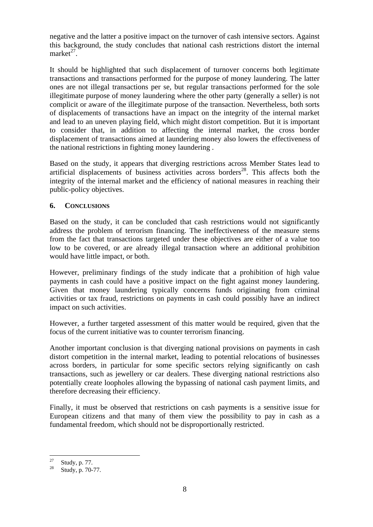negative and the latter a positive impact on the turnover of cash intensive sectors. Against this background, the study concludes that national cash restrictions distort the internal  $market^{27}$ .

It should be highlighted that such displacement of turnover concerns both legitimate transactions and transactions performed for the purpose of money laundering. The latter ones are not illegal transactions per se, but regular transactions performed for the sole illegitimate purpose of money laundering where the other party (generally a seller) is not complicit or aware of the illegitimate purpose of the transaction. Nevertheless, both sorts of displacements of transactions have an impact on the integrity of the internal market and lead to an uneven playing field, which might distort competition. But it is important to consider that, in addition to affecting the internal market, the cross border displacement of transactions aimed at laundering money also lowers the effectiveness of the national restrictions in fighting money laundering .

Based on the study, it appears that diverging restrictions across Member States lead to artificial displacements of business activities across borders<sup>28</sup>. This affects both the integrity of the internal market and the efficiency of national measures in reaching their public-policy objectives.

### **6. CONCLUSIONS**

Based on the study, it can be concluded that cash restrictions would not significantly address the problem of terrorism financing. The ineffectiveness of the measure stems from the fact that transactions targeted under these objectives are either of a value too low to be covered, or are already illegal transaction where an additional prohibition would have little impact, or both.

However, preliminary findings of the study indicate that a prohibition of high value payments in cash could have a positive impact on the fight against money laundering. Given that money laundering typically concerns funds originating from criminal activities or tax fraud, restrictions on payments in cash could possibly have an indirect impact on such activities.

However, a further targeted assessment of this matter would be required, given that the focus of the current initiative was to counter terrorism financing.

Another important conclusion is that diverging national provisions on payments in cash distort competition in the internal market, leading to potential relocations of businesses across borders, in particular for some specific sectors relying significantly on cash transactions, such as jewellery or car dealers. These diverging national restrictions also potentially create loopholes allowing the bypassing of national cash payment limits, and therefore decreasing their efficiency.

Finally, it must be observed that restrictions on cash payments is a sensitive issue for European citizens and that many of them view the possibility to pay in cash as a fundamental freedom, which should not be disproportionally restricted.

 $27$  $\frac{27}{28}$  Study, p. 77.

Study, p. 70-77.